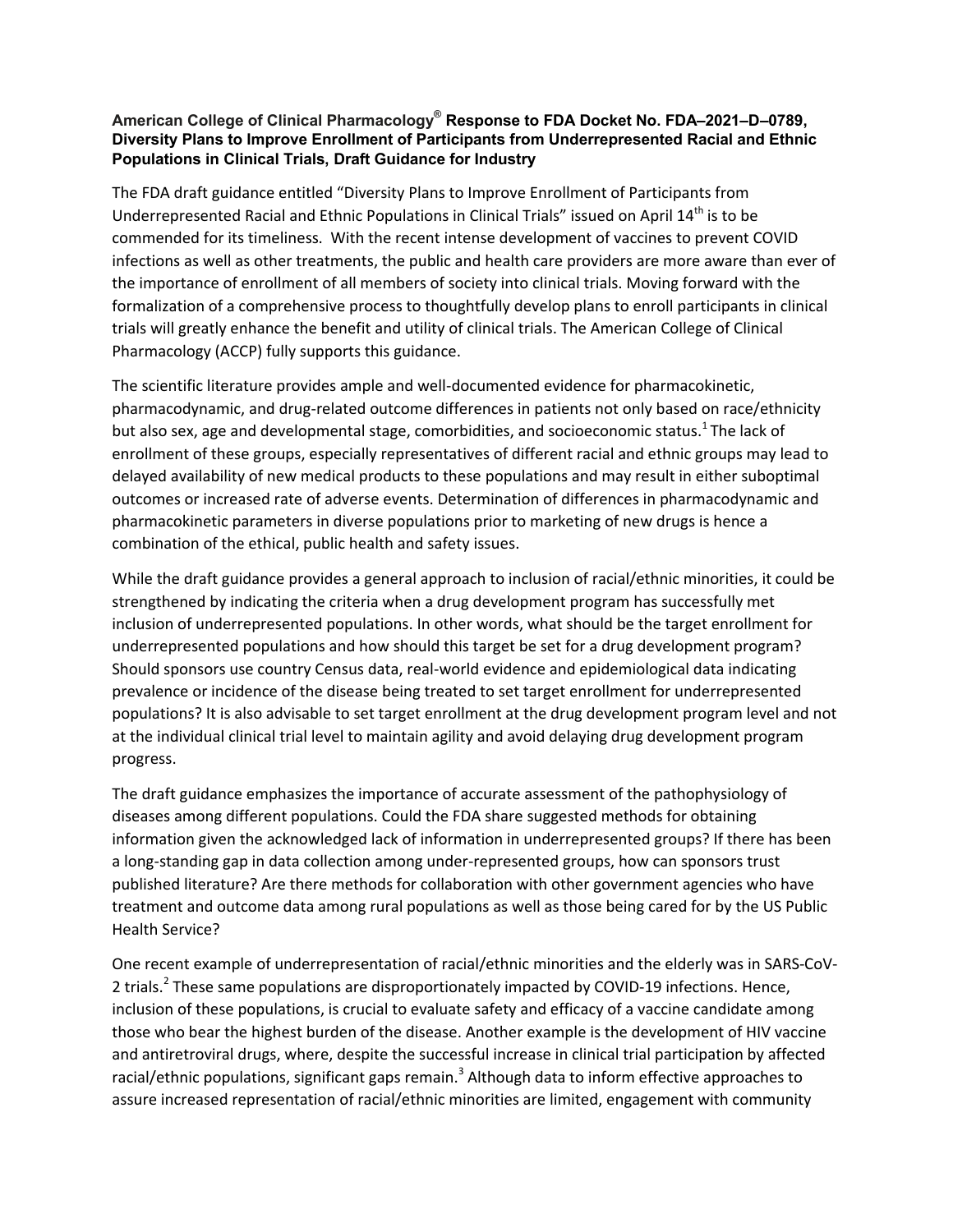## **American College of Clinical Pharmacology® Response to FDA Docket No. FDA–2021–D–0789, Diversity Plans to Improve Enrollment of Participants from Underrepresented Racial and Ethnic Populations in Clinical Trials, Draft Guidance for Industry**

The FDA draft guidance entitled "Diversity Plans to Improve Enrollment of Participants from Underrepresented Racial and Ethnic Populations in Clinical Trials" issued on April 14<sup>th</sup> is to be commended for its timeliness. With the recent intense development of vaccines to prevent COVID infections as well as other treatments, the public and health care providers are more aware than ever of the importance of enrollment of all members of society into clinical trials. Moving forward with the formalization of a comprehensive process to thoughtfully develop plans to enroll participants in clinical trials will greatly enhance the benefit and utility of clinical trials. The American College of Clinical Pharmacology (ACCP) fully supports this guidance.

The scientific literature provides ample and well-documented evidence for pharmacokinetic, pharmacodynamic, and drug-related outcome differences in patients not only based on race/ethnicity but also sex, age and developmental stage, comorbidities, and socioeconomic status.<sup>1</sup> The lack of enrollment of these groups, especially representatives of different racial and ethnic groups may lead to delayed availability of new medical products to these populations and may result in either suboptimal outcomes or increased rate of adverse events. Determination of differences in pharmacodynamic and pharmacokinetic parameters in diverse populations prior to marketing of new drugs is hence a combination of the ethical, public health and safety issues.

While the draft guidance provides a general approach to inclusion of racial/ethnic minorities, it could be strengthened by indicating the criteria when a drug development program has successfully met inclusion of underrepresented populations. In other words, what should be the target enrollment for underrepresented populations and how should this target be set for a drug development program? Should sponsors use country Census data, real-world evidence and epidemiological data indicating prevalence or incidence of the disease being treated to set target enrollment for underrepresented populations? It is also advisable to set target enrollment at the drug development program level and not at the individual clinical trial level to maintain agility and avoid delaying drug development program progress.

The draft guidance emphasizes the importance of accurate assessment of the pathophysiology of diseases among different populations. Could the FDA share suggested methods for obtaining information given the acknowledged lack of information in underrepresented groups? If there has been a long-standing gap in data collection among under-represented groups, how can sponsors trust published literature? Are there methods for collaboration with other government agencies who have treatment and outcome data among rural populations as well as those being cared for by the US Public Health Service?

One recent example of underrepresentation of racial/ethnic minorities and the elderly was in SARS-CoV-2 trials.<sup>2</sup> These same populations are disproportionately impacted by COVID-19 infections. Hence, inclusion of these populations, is crucial to evaluate safety and efficacy of a vaccine candidate among those who bear the highest burden of the disease. Another example is the development of HIV vaccine and antiretroviral drugs, where, despite the successful increase in clinical trial participation by affected racial/ethnic populations, significant gaps remain.<sup>3</sup> Although data to inform effective approaches to assure increased representation of racial/ethnic minorities are limited, engagement with community